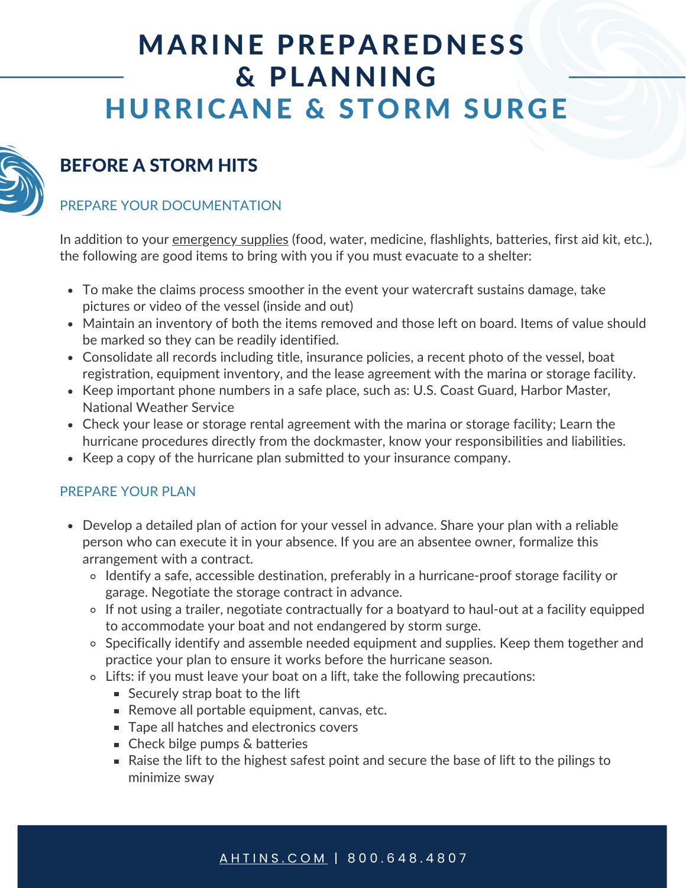# MARINE PREPAREDNESS & PLANNING HURRICANE & STORM SURGE



# BEFORE A STORM HITS

#### PREPARE YOUR DOCUMENTATION

In addition to your *emergency supplies* (food, water, medicine, flashlights, batteries, first aid kit, etc.), the following are good items to bring with you if you must evacuate to a shelter:

- To make the claims process smoother in the event your watercraft sustains damage, take pictures or video of the vessel (inside and out)
- Maintain an inventory of both the items removed and those left on board. Items of value should be marked so they can be readily identified.
- Consolidate all records including title, insurance policies, a recent photo of the vessel, boat registration, equipment inventory, and the lease agreement with the marina or storage facility.
- Keep important phone numbers in a safe place, such as: U.S. Coast Guard, Harbor Master, National Weather Service
- Check your lease or storage rental agreement with the marina or storage facility; Learn the hurricane procedures directly from the dockmaster, know your responsibilities and liabilities.
- Keep a copy of the hurricane plan submitted to your insurance company.

#### PREPARE YOUR PLAN

- Develop a detailed plan of action for your vessel in advance. Share your plan with a reliable person who can execute it in your absence. If you are an absentee owner, formalize this arrangement with a contract.
	- Identify a safe, accessible destination, preferably in a hurricane-proof storage facility or garage. Negotiate the storage contract in advance.
	- If not using a trailer, negotiate contractually for a boatyard to haul-out at a facility equipped to accommodate your boat and not endangered by storm surge.
	- Specifically identify and assemble needed equipment and supplies. Keep them together and practice your plan to ensure it works before the hurricane season.
	- Lifts: if you must leave your boat on a lift, take the following precautions:
		- Securely strap boat to the lift
		- Remove all portable equipment, canvas, etc.
		- **Tape all hatches and electronics covers**
		- Check bilge pumps & batteries
		- Raise the lift to the highest safest point and secure the base of lift to the pilings to minimize sway

#### A H T I N S . C O [M](https://www.ahtins.com/contact-us/) | 800.648.4807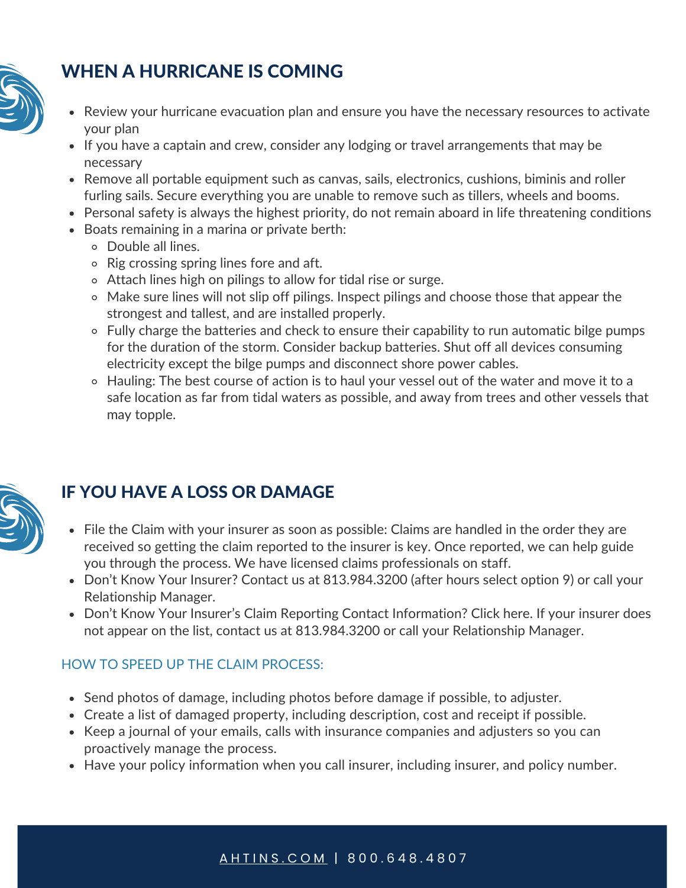

# WHEN A HURRICANE IS COMING

- Review your hurricane evacuation plan and ensure you have the necessary resources to activate your plan
- If you have a captain and crew, consider any lodging or travel arrangements that may be necessary
- Remove all portable equipment such as canvas, sails, electronics, cushions, biminis and roller furling sails. Secure everything you are unable to remove such as tillers, wheels and booms.
- Personal safety is always the highest priority, do not remain aboard in life threatening conditions
- Boats remaining in a marina or private berth:
	- Double all lines.
	- Rig crossing spring lines fore and aft.
	- Attach lines high on pilings to allow for tidal rise or surge.
	- Make sure lines will not slip off pilings. Inspect pilings and choose those that appear the strongest and tallest, and are installed properly.
	- Fully charge the batteries and check to ensure their capability to run automatic bilge pumps for the duration of the storm. Consider backup batteries. Shut off all devices consuming electricity except the bilge pumps and disconnect shore power cables.
	- Hauling: The best course of action is to haul your vessel out of the water and move it to a safe location as far from tidal waters as possible, and away from trees and other vessels that may topple.



## IF YOU HAVE A LOSS OR DAMAGE

- File the Claim with your insurer as soon as possible: Claims are handled in the order they are received so getting the claim reported to the insurer is key. Once reported, we can help guide you through the process. We have licensed claims professionals on staff.
- Don't Know Your Insurer? Contact us at 813.984.3200 (after hours select option 9) or call your Relationship Manager.
- Don't Know Your Insurer's Claim Reporting Contact Information? [Click](http://www.ahtins.com/) here. If your insurer does not appear on the list, contact us at 813.984.3200 or call your Relationship Manager.

#### HOW TO SPEED UP THE CLAIM PROCESS:

- Send photos of damage, including photos before damage if possible, to adjuster.
- Create a list of damaged property, including description, cost and receipt if possible.
- Keep a journal of your emails, calls with insurance companies and adjusters so you can proactively manage the process.
- Have your policy information when you call insurer, including insurer, and policy number.